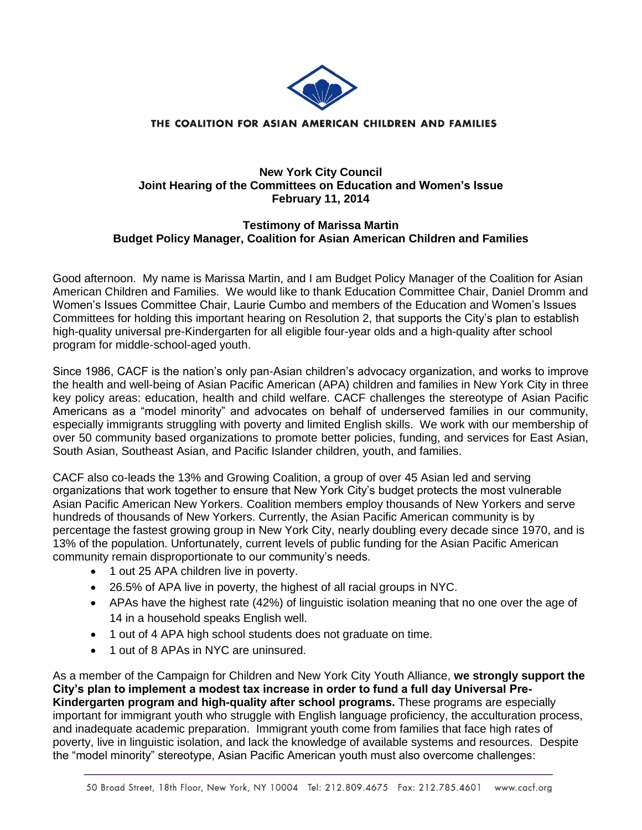

### THE COALITION FOR ASIAN AMERICAN CHILDREN AND FAMILIES

## **New York City Council Joint Hearing of the Committees on Education and Women's Issue February 11, 2014**

# **Testimony of Marissa Martin Budget Policy Manager, Coalition for Asian American Children and Families**

Good afternoon. My name is Marissa Martin, and I am Budget Policy Manager of the Coalition for Asian American Children and Families. We would like to thank Education Committee Chair, Daniel Dromm and Women's Issues Committee Chair, Laurie Cumbo and members of the Education and Women's Issues Committees for holding this important hearing on Resolution 2, that supports the City's plan to establish high-quality universal pre-Kindergarten for all eligible four-year olds and a high-quality after school program for middle-school-aged youth.

Since 1986, CACF is the nation's only pan-Asian children's advocacy organization, and works to improve the health and well-being of Asian Pacific American (APA) children and families in New York City in three key policy areas: education, health and child welfare. CACF challenges the stereotype of Asian Pacific Americans as a "model minority" and advocates on behalf of underserved families in our community, especially immigrants struggling with poverty and limited English skills. We work with our membership of over 50 community based organizations to promote better policies, funding, and services for East Asian, South Asian, Southeast Asian, and Pacific Islander children, youth, and families.

CACF also co-leads the 13% and Growing Coalition, a group of over 45 Asian led and serving organizations that work together to ensure that New York City's budget protects the most vulnerable Asian Pacific American New Yorkers. Coalition members employ thousands of New Yorkers and serve hundreds of thousands of New Yorkers. Currently, the Asian Pacific American community is by percentage the fastest growing group in New York City, nearly doubling every decade since 1970, and is 13% of the population. Unfortunately, current levels of public funding for the Asian Pacific American community remain disproportionate to our community's needs.

- 1 out 25 APA children live in poverty.
- 26.5% of APA live in poverty, the highest of all racial groups in NYC.
- APAs have the highest rate (42%) of linguistic isolation meaning that no one over the age of 14 in a household speaks English well.
- 1 out of 4 APA high school students does not graduate on time.
- 1 out of 8 APAs in NYC are uninsured.

As a member of the Campaign for Children and New York City Youth Alliance, **we strongly support the City's plan to implement a modest tax increase in order to fund a full day Universal Pre-Kindergarten program and high-quality after school programs.** These programs are especially important for immigrant youth who struggle with English language proficiency, the acculturation process, and inadequate academic preparation. Immigrant youth come from families that face high rates of poverty, live in linguistic isolation, and lack the knowledge of available systems and resources. Despite the "model minority" stereotype, Asian Pacific American youth must also overcome challenges: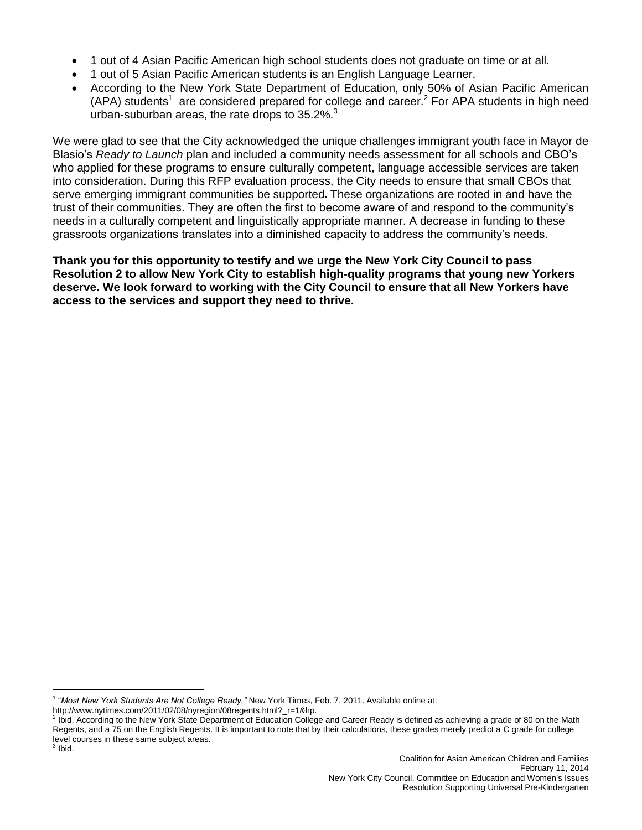- 1 out of 4 Asian Pacific American high school students does not graduate on time or at all.
- 1 out of 5 Asian Pacific American students is an English Language Learner.
- According to the New York State Department of Education, only 50% of Asian Pacific American  $(APA)$  students<sup>1</sup> are considered prepared for college and career.<sup>2</sup> For APA students in high need urban-suburban areas, the rate drops to  $35.2\%$ <sup>3</sup>

We were glad to see that the City acknowledged the unique challenges immigrant youth face in Mayor de Blasio's *Ready to Launch* plan and included a community needs assessment for all schools and CBO's who applied for these programs to ensure culturally competent, language accessible services are taken into consideration. During this RFP evaluation process, the City needs to ensure that small CBOs that serve emerging immigrant communities be supported**.** These organizations are rooted in and have the trust of their communities. They are often the first to become aware of and respond to the community's needs in a culturally competent and linguistically appropriate manner. A decrease in funding to these grassroots organizations translates into a diminished capacity to address the community's needs.

**Thank you for this opportunity to testify and we urge the New York City Council to pass Resolution 2 to allow New York City to establish high-quality programs that young new Yorkers deserve. We look forward to working with the City Council to ensure that all New Yorkers have access to the services and support they need to thrive.**

 $\overline{a}$ 1 "*Most New York Students Are Not College Ready,"* New York Times, Feb. 7, 2011. Available online at:

http://www.nytimes.com/2011/02/08/nyregion/08regents.html?\_r=1&hp.

<sup>&</sup>lt;sup>2</sup> Ibid. According to the New York State Department of Education College and Career Ready is defined as achieving a grade of 80 on the Math Regents, and a 75 on the English Regents. It is important to note that by their calculations, these grades merely predict a C grade for college level courses in these same subject areas.  $3$  Ibid.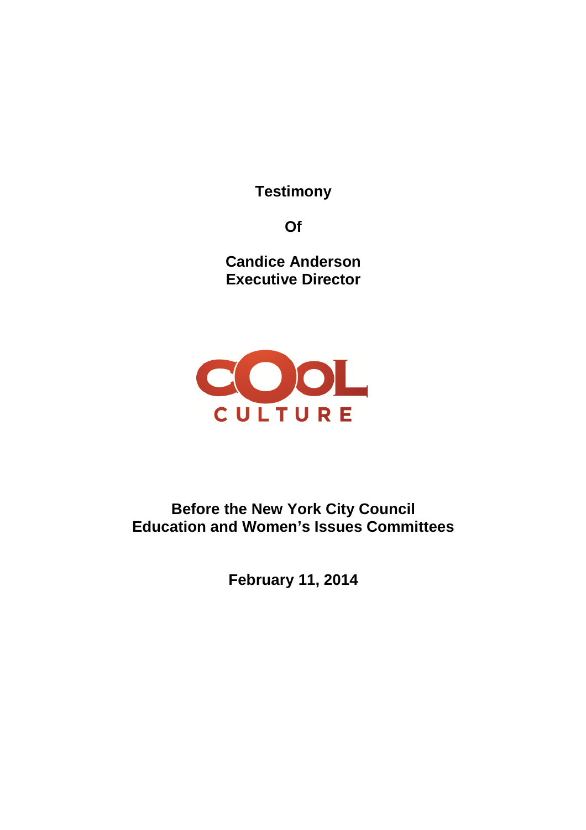**Testimony**

**Of**

**Candice Anderson Executive Director**



**Before the New York City Council Education and Women's Issues Committees**

**February 11, 2014**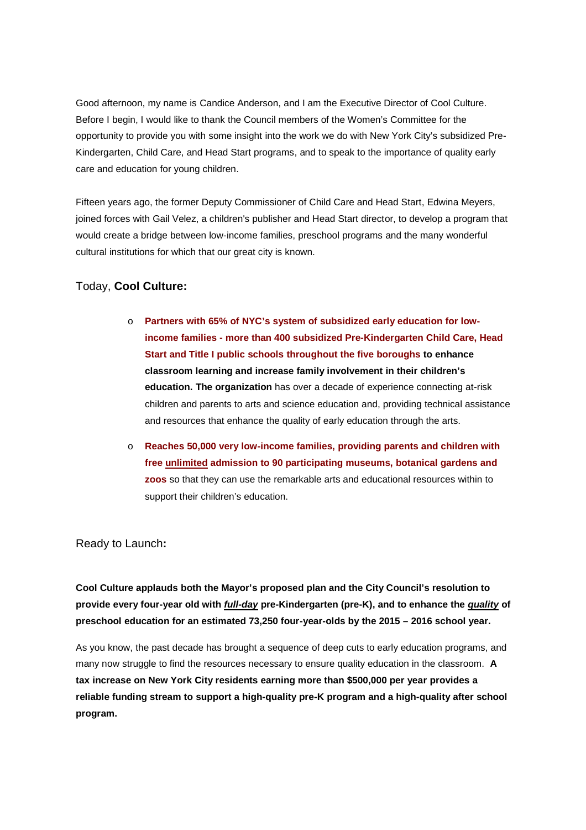Good afternoon, my name is Candice Anderson, and I am the Executive Director of Cool Culture. Before I begin, I would like to thank the Council members of the Women's Committee for the opportunity to provide you with some insight into the work we do with New York City's subsidized Pre-Kindergarten, Child Care, and Head Start programs, and to speak to the importance of quality early care and education for young children.

Fifteen years ago, the former Deputy Commissioner of Child Care and Head Start, Edwina Meyers, joined forces with Gail Velez, a children's publisher and Head Start director, to develop a program that would create a bridge between low-income families, preschool programs and the many wonderful cultural institutions for which that our great city is known.

## Today, **Cool Culture:**

- o **Partners with 65% of NYC's system of subsidized early education for lowincome families - more than 400 subsidized Pre-Kindergarten Child Care, Head Start and Title I public schools throughout the five boroughs to enhance classroom learning and increase family involvement in their children's education. The organization** has over a decade of experience connecting at-risk children and parents to arts and science education and, providing technical assistance and resources that enhance the quality of early education through the arts.
- o **Reaches 50,000 very low-income families, providing parents and children with free unlimited admission to 90 participating museums, botanical gardens and zoos** so that they can use the remarkable arts and educational resources within to support their children's education.

#### Ready to Launch**:**

**Cool Culture applauds both the Mayor's proposed plan and the City Council's resolution to provide every four-year old with** *full-day* **pre-Kindergarten (pre-K), and to enhance the** *quality* **of preschool education for an estimated 73,250 four-year-olds by the 2015 – 2016 school year.**

As you know, the past decade has brought a sequence of deep cuts to early education programs, and many now struggle to find the resources necessary to ensure quality education in the classroom. **A tax increase on New York City residents earning more than \$500,000 per year provides a reliable funding stream to support a high-quality pre-K program and a high-quality after school program.**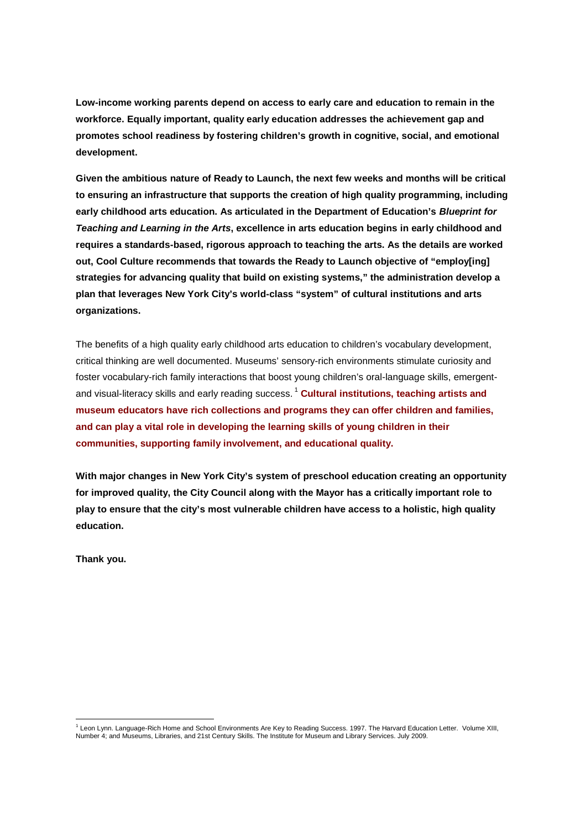**Low-income working parents depend on access to early care and education to remain in the workforce. Equally important, quality early education addresses the achievement gap and promotes school readiness by fostering children's growth in cognitive, social, and emotional development.**

**Given the ambitious nature of Ready to Launch, the next few weeks and months will be critical to ensuring an infrastructure that supports the creation of high quality programming, including early childhood arts education. As articulated in the Department of Education's** *Blueprint for Teaching and Learning in the Arts***, excellence in arts education begins in early childhood and requires a standards-based, rigorous approach to teaching the arts. As the details are worked out, Cool Culture recommends that towards the Ready to Launch objective of "employ[ing] strategies for advancing quality that build on existing systems," the administration develop a plan that leverages New York City's world-class "system" of cultural institutions and arts organizations.**

The benefits of a high quality early childhood arts education to children's vocabulary development, critical thinking are well documented. Museums' sensory-rich environments stimulate curiosity and foster vocabulary-rich family interactions that boost young children's oral-language skills, emergentand visual-literacy skills and early reading success.<sup>1</sup> Cultural institutions, teaching artists and **museum educators have rich collections and programs they can offer children and families, and can play a vital role in developing the learning skills of young children in their communities, supporting family involvement, and educational quality.**

**With major changes in New York City's system of preschool education creating an opportunity for improved quality, the City Council along with the Mayor has a critically important role to play to ensure that the city's most vulnerable children have access to a holistic, high quality education.**

**Thank you.**

<sup>&</sup>lt;sup>1</sup> Leon Lynn. Language-Rich Home and School Environments Are Key to Reading Success. 1997. The Harvard Education Letter. Volume XIII, Number 4; and Museums, Libraries, and 21st Century Skills. The Institute for Museum and Library Services. July 2009.